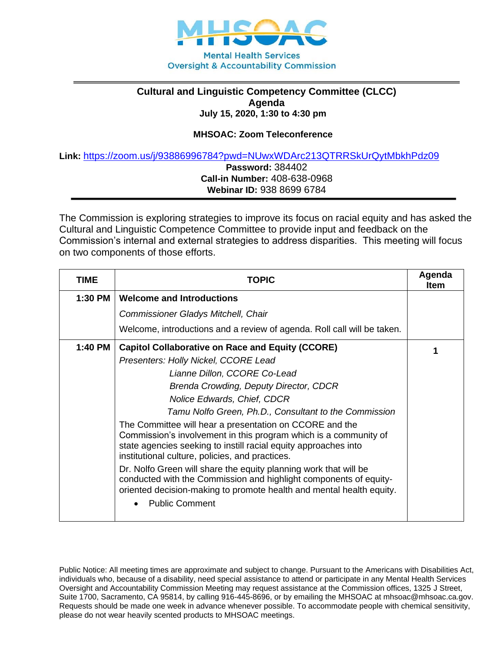

## **Cultural and Linguistic Competency Committee (CLCC) Agenda July 15, 2020, 1:30 to 4:30 pm**

## **MHSOAC: Zoom Teleconference**

**Link:** <https://zoom.us/j/93886996784?pwd=NUwxWDArc213QTRRSkUrQytMbkhPdz09>

**Password:** 384402 **Call-in Number:** 408-638-0968 **Webinar ID:** 938 8699 6784

The Commission is exploring strategies to improve its focus on racial equity and has asked the Cultural and Linguistic Competence Committee to provide input and feedback on the Commission's internal and external strategies to address disparities. This meeting will focus on two components of those efforts.

| TIME    | <b>TOPIC</b>                                                                                                                                                                                                                                      | Agenda<br><b>Item</b> |
|---------|---------------------------------------------------------------------------------------------------------------------------------------------------------------------------------------------------------------------------------------------------|-----------------------|
| 1:30 PM | <b>Welcome and Introductions</b>                                                                                                                                                                                                                  |                       |
|         | Commissioner Gladys Mitchell, Chair                                                                                                                                                                                                               |                       |
|         | Welcome, introductions and a review of agenda. Roll call will be taken.                                                                                                                                                                           |                       |
| 1:40 PM | <b>Capitol Collaborative on Race and Equity (CCORE)</b>                                                                                                                                                                                           |                       |
|         | Presenters: Holly Nickel, CCORE Lead                                                                                                                                                                                                              |                       |
|         | Lianne Dillon, CCORE Co-Lead                                                                                                                                                                                                                      |                       |
|         | Brenda Crowding, Deputy Director, CDCR                                                                                                                                                                                                            |                       |
|         | Nolice Edwards, Chief, CDCR                                                                                                                                                                                                                       |                       |
|         | Tamu Nolfo Green, Ph.D., Consultant to the Commission                                                                                                                                                                                             |                       |
|         | The Committee will hear a presentation on CCORE and the<br>Commission's involvement in this program which is a community of<br>state agencies seeking to instill racial equity approaches into<br>institutional culture, policies, and practices. |                       |
|         | Dr. Nolfo Green will share the equity planning work that will be<br>conducted with the Commission and highlight components of equity-<br>oriented decision-making to promote health and mental health equity.                                     |                       |
|         | <b>Public Comment</b>                                                                                                                                                                                                                             |                       |

Public Notice: All meeting times are approximate and subject to change. Pursuant to the Americans with Disabilities Act, individuals who, because of a disability, need special assistance to attend or participate in any Mental Health Services Oversight and Accountability Commission Meeting may request assistance at the Commission offices, 1325 J Street, Suite 1700, Sacramento, CA 95814, by calling 916-445-8696, or by emailing the MHSOAC at mhsoac@mhsoac.ca.gov. Requests should be made one week in advance whenever possible. To accommodate people with chemical sensitivity, please do not wear heavily scented products to MHSOAC meetings.